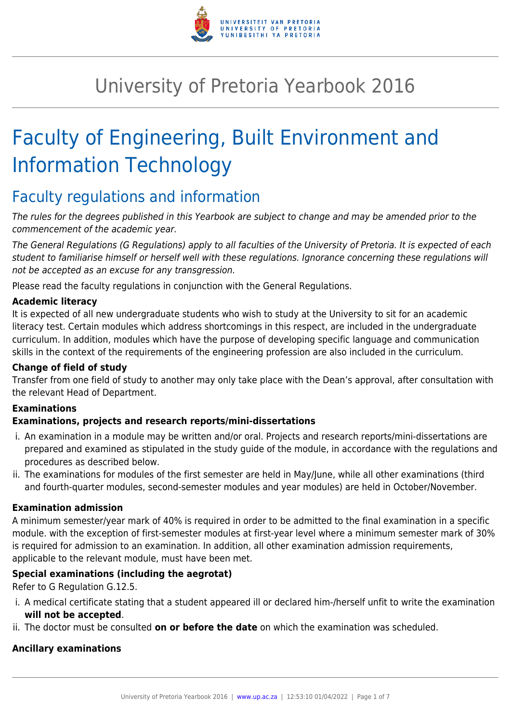

# University of Pretoria Yearbook 2016

# Faculty of Engineering, Built Environment and Information Technology

# Faculty regulations and information

The rules for the degrees published in this Yearbook are subject to change and may be amended prior to the commencement of the academic year.

The General Regulations (G Regulations) apply to all faculties of the University of Pretoria. It is expected of each student to familiarise himself or herself well with these regulations. Ignorance concerning these regulations will not be accepted as an excuse for any transgression.

Please read the faculty regulations in conjunction with the General Regulations.

#### **Academic literacy**

It is expected of all new undergraduate students who wish to study at the University to sit for an academic literacy test. Certain modules which address shortcomings in this respect, are included in the undergraduate curriculum. In addition, modules which have the purpose of developing specific language and communication skills in the context of the requirements of the engineering profession are also included in the curriculum.

#### **Change of field of study**

Transfer from one field of study to another may only take place with the Dean's approval, after consultation with the relevant Head of Department.

# **Examinations**

#### **Examinations, projects and research reports/mini-dissertations**

- i. An examination in a module may be written and/or oral. Projects and research reports/mini-dissertations are prepared and examined as stipulated in the study guide of the module, in accordance with the regulations and procedures as described below.
- ii. The examinations for modules of the first semester are held in May/June, while all other examinations (third and fourth-quarter modules, second-semester modules and year modules) are held in October/November.

#### **Examination admission**

A minimum semester/year mark of 40% is required in order to be admitted to the final examination in a specific module. with the exception of first-semester modules at first-year level where a minimum semester mark of 30% is required for admission to an examination. In addition, all other examination admission requirements, applicable to the relevant module, must have been met.

#### **Special examinations (including the aegrotat)**

Refer to G Regulation G.12.5.

- i. A medical certificate stating that a student appeared ill or declared him-/herself unfit to write the examination **will not be accepted**.
- ii. The doctor must be consulted **on or before the date** on which the examination was scheduled.

#### **Ancillary examinations**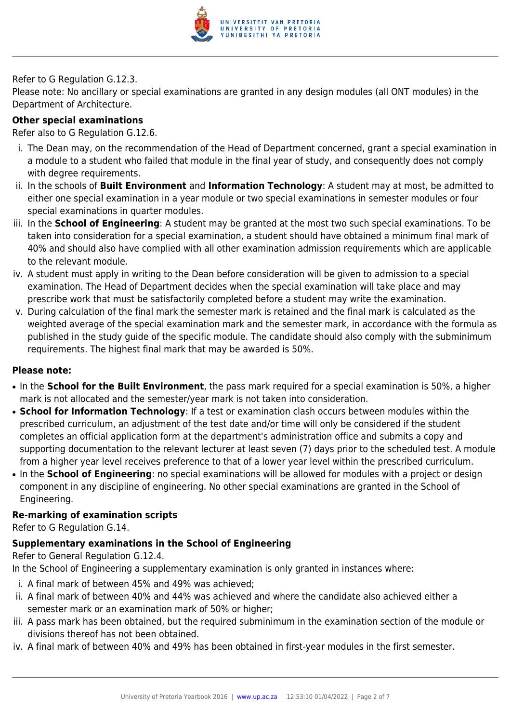

#### Refer to G Regulation G.12.3.

Please note: No ancillary or special examinations are granted in any design modules (all ONT modules) in the Department of Architecture.

#### **Other special examinations**

Refer also to G Regulation G.12.6.

- i. The Dean may, on the recommendation of the Head of Department concerned, grant a special examination in a module to a student who failed that module in the final year of study, and consequently does not comply with degree requirements.
- ii. In the schools of **Built Environment** and **Information Technology**: A student may at most, be admitted to either one special examination in a year module or two special examinations in semester modules or four special examinations in quarter modules.
- iii. In the **School of Engineering**: A student may be granted at the most two such special examinations. To be taken into consideration for a special examination, a student should have obtained a minimum final mark of 40% and should also have complied with all other examination admission requirements which are applicable to the relevant module.
- iv. A student must apply in writing to the Dean before consideration will be given to admission to a special examination. The Head of Department decides when the special examination will take place and may prescribe work that must be satisfactorily completed before a student may write the examination.
- v. During calculation of the final mark the semester mark is retained and the final mark is calculated as the weighted average of the special examination mark and the semester mark, in accordance with the formula as published in the study guide of the specific module. The candidate should also comply with the subminimum requirements. The highest final mark that may be awarded is 50%.

#### **Please note:**

- In the **School for the Built Environment**, the pass mark required for a special examination is 50%, a higher mark is not allocated and the semester/year mark is not taken into consideration.
- **School for Information Technology**: If a test or examination clash occurs between modules within the prescribed curriculum, an adjustment of the test date and/or time will only be considered if the student completes an official application form at the department's administration office and submits a copy and supporting documentation to the relevant lecturer at least seven (7) days prior to the scheduled test. A module from a higher year level receives preference to that of a lower year level within the prescribed curriculum.
- In the **School of Engineering**: no special examinations will be allowed for modules with a project or design component in any discipline of engineering. No other special examinations are granted in the School of Engineering.

#### **Re-marking of examination scripts**

Refer to G Regulation G.14.

# **Supplementary examinations in the School of Engineering**

Refer to General Regulation G.12.4.

In the School of Engineering a supplementary examination is only granted in instances where:

- i. A final mark of between 45% and 49% was achieved;
- ii. A final mark of between 40% and 44% was achieved and where the candidate also achieved either a semester mark or an examination mark of 50% or higher;
- iii. A pass mark has been obtained, but the required subminimum in the examination section of the module or divisions thereof has not been obtained.
- iv. A final mark of between 40% and 49% has been obtained in first-year modules in the first semester.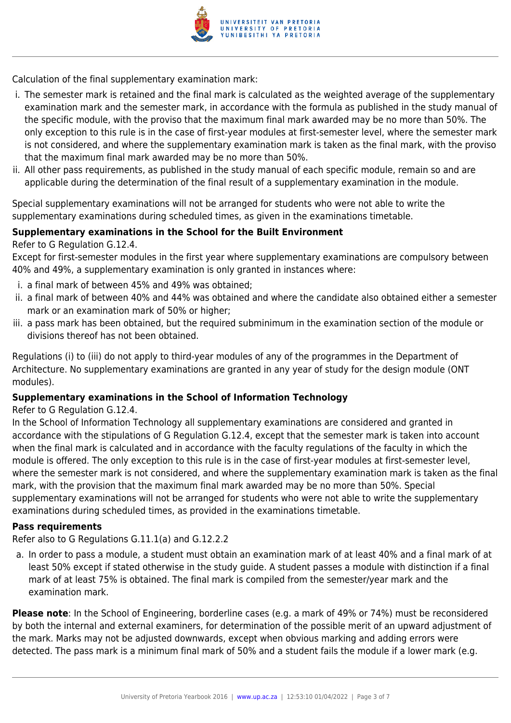

Calculation of the final supplementary examination mark:

- i. The semester mark is retained and the final mark is calculated as the weighted average of the supplementary examination mark and the semester mark, in accordance with the formula as published in the study manual of the specific module, with the proviso that the maximum final mark awarded may be no more than 50%. The only exception to this rule is in the case of first-year modules at first-semester level, where the semester mark is not considered, and where the supplementary examination mark is taken as the final mark, with the proviso that the maximum final mark awarded may be no more than 50%.
- ii. All other pass requirements, as published in the study manual of each specific module, remain so and are applicable during the determination of the final result of a supplementary examination in the module.

Special supplementary examinations will not be arranged for students who were not able to write the supplementary examinations during scheduled times, as given in the examinations timetable.

#### **Supplementary examinations in the School for the Built Environment**

Refer to G Regulation G.12.4.

Except for first-semester modules in the first year where supplementary examinations are compulsory between 40% and 49%, a supplementary examination is only granted in instances where:

- i. a final mark of between 45% and 49% was obtained;
- ii. a final mark of between 40% and 44% was obtained and where the candidate also obtained either a semester mark or an examination mark of 50% or higher;
- iii. a pass mark has been obtained, but the required subminimum in the examination section of the module or divisions thereof has not been obtained.

Regulations (i) to (iii) do not apply to third-year modules of any of the programmes in the Department of Architecture. No supplementary examinations are granted in any year of study for the design module (ONT modules).

#### **Supplementary examinations in the School of Information Technology**

#### Refer to G Regulation G.12.4.

In the School of Information Technology all supplementary examinations are considered and granted in accordance with the stipulations of G Regulation G.12.4, except that the semester mark is taken into account when the final mark is calculated and in accordance with the faculty regulations of the faculty in which the module is offered. The only exception to this rule is in the case of first-year modules at first-semester level, where the semester mark is not considered, and where the supplementary examination mark is taken as the final mark, with the provision that the maximum final mark awarded may be no more than 50%. Special supplementary examinations will not be arranged for students who were not able to write the supplementary examinations during scheduled times, as provided in the examinations timetable.

#### **Pass requirements**

Refer also to G Regulations G.11.1(a) and G.12.2.2

a. In order to pass a module, a student must obtain an examination mark of at least 40% and a final mark of at least 50% except if stated otherwise in the study guide. A student passes a module with distinction if a final mark of at least 75% is obtained. The final mark is compiled from the semester/year mark and the examination mark.

**Please note**: In the School of Engineering, borderline cases (e.g. a mark of 49% or 74%) must be reconsidered by both the internal and external examiners, for determination of the possible merit of an upward adjustment of the mark. Marks may not be adjusted downwards, except when obvious marking and adding errors were detected. The pass mark is a minimum final mark of 50% and a student fails the module if a lower mark (e.g.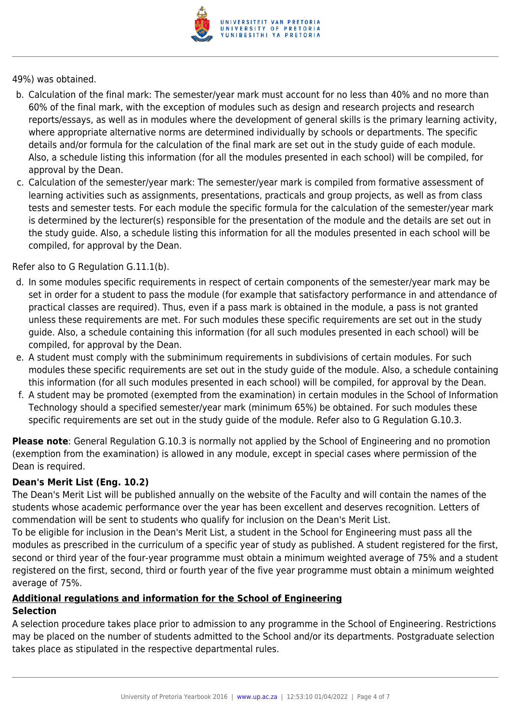

49%) was obtained.

- b. Calculation of the final mark: The semester/year mark must account for no less than 40% and no more than 60% of the final mark, with the exception of modules such as design and research projects and research reports/essays, as well as in modules where the development of general skills is the primary learning activity, where appropriate alternative norms are determined individually by schools or departments. The specific details and/or formula for the calculation of the final mark are set out in the study guide of each module. Also, a schedule listing this information (for all the modules presented in each school) will be compiled, for approval by the Dean.
- c. Calculation of the semester/year mark: The semester/year mark is compiled from formative assessment of learning activities such as assignments, presentations, practicals and group projects, as well as from class tests and semester tests. For each module the specific formula for the calculation of the semester/year mark is determined by the lecturer(s) responsible for the presentation of the module and the details are set out in the study guide. Also, a schedule listing this information for all the modules presented in each school will be compiled, for approval by the Dean.

Refer also to G Regulation G.11.1(b).

- d. In some modules specific requirements in respect of certain components of the semester/year mark may be set in order for a student to pass the module (for example that satisfactory performance in and attendance of practical classes are required). Thus, even if a pass mark is obtained in the module, a pass is not granted unless these requirements are met. For such modules these specific requirements are set out in the study guide. Also, a schedule containing this information (for all such modules presented in each school) will be compiled, for approval by the Dean.
- e. A student must comply with the subminimum requirements in subdivisions of certain modules. For such modules these specific requirements are set out in the study guide of the module. Also, a schedule containing this information (for all such modules presented in each school) will be compiled, for approval by the Dean.
- f. A student may be promoted (exempted from the examination) in certain modules in the School of Information Technology should a specified semester/year mark (minimum 65%) be obtained. For such modules these specific requirements are set out in the study guide of the module. Refer also to G Regulation G.10.3.

**Please note**: General Regulation G.10.3 is normally not applied by the School of Engineering and no promotion (exemption from the examination) is allowed in any module, except in special cases where permission of the Dean is required.

# **Dean's Merit List (Eng. 10.2)**

The Dean's Merit List will be published annually on the website of the Faculty and will contain the names of the students whose academic performance over the year has been excellent and deserves recognition. Letters of commendation will be sent to students who qualify for inclusion on the Dean's Merit List.

To be eligible for inclusion in the Dean's Merit List, a student in the School for Engineering must pass all the modules as prescribed in the curriculum of a specific year of study as published. A student registered for the first, second or third year of the four-year programme must obtain a minimum weighted average of 75% and a student registered on the first, second, third or fourth year of the five year programme must obtain a minimum weighted average of 75%.

# **Additional regulations and information for the School of Engineering**

#### **Selection**

A selection procedure takes place prior to admission to any programme in the School of Engineering. Restrictions may be placed on the number of students admitted to the School and/or its departments. Postgraduate selection takes place as stipulated in the respective departmental rules.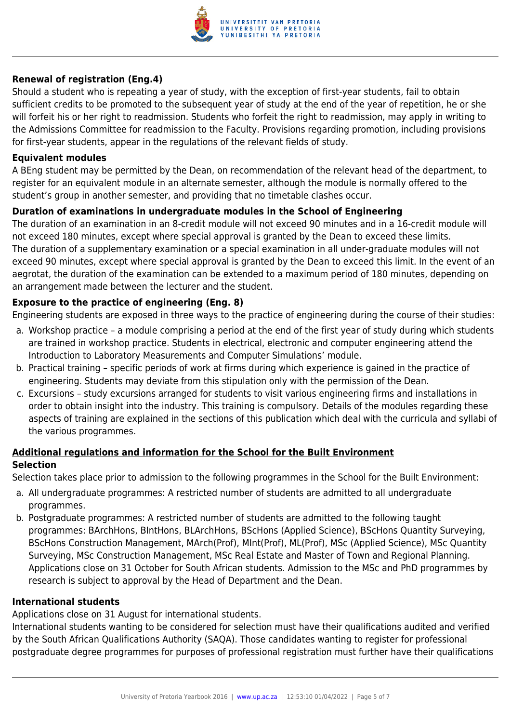

#### **Renewal of registration (Eng.4)**

Should a student who is repeating a year of study, with the exception of first-year students, fail to obtain sufficient credits to be promoted to the subsequent year of study at the end of the year of repetition, he or she will forfeit his or her right to readmission. Students who forfeit the right to readmission, may apply in writing to the Admissions Committee for readmission to the Faculty. Provisions regarding promotion, including provisions for first-year students, appear in the regulations of the relevant fields of study.

#### **Equivalent modules**

A BEng student may be permitted by the Dean, on recommendation of the relevant head of the department, to register for an equivalent module in an alternate semester, although the module is normally offered to the student's group in another semester, and providing that no timetable clashes occur.

#### **Duration of examinations in undergraduate modules in the School of Engineering**

The duration of an examination in an 8-credit module will not exceed 90 minutes and in a 16-credit module will not exceed 180 minutes, except where special approval is granted by the Dean to exceed these limits. The duration of a supplementary examination or a special examination in all under-graduate modules will not exceed 90 minutes, except where special approval is granted by the Dean to exceed this limit. In the event of an aegrotat, the duration of the examination can be extended to a maximum period of 180 minutes, depending on an arrangement made between the lecturer and the student.

#### **Exposure to the practice of engineering (Eng. 8)**

Engineering students are exposed in three ways to the practice of engineering during the course of their studies:

- a. Workshop practice a module comprising a period at the end of the first year of study during which students are trained in workshop practice. Students in electrical, electronic and computer engineering attend the Introduction to Laboratory Measurements and Computer Simulations' module.
- b. Practical training specific periods of work at firms during which experience is gained in the practice of engineering. Students may deviate from this stipulation only with the permission of the Dean.
- c. Excursions study excursions arranged for students to visit various engineering firms and installations in order to obtain insight into the industry. This training is compulsory. Details of the modules regarding these aspects of training are explained in the sections of this publication which deal with the curricula and syllabi of the various programmes.

#### **Additional regulations and information for the School for the Built Environment Selection**

Selection takes place prior to admission to the following programmes in the School for the Built Environment:

- a. All undergraduate programmes: A restricted number of students are admitted to all undergraduate programmes.
- b. Postgraduate programmes: A restricted number of students are admitted to the following taught programmes: BArchHons, BIntHons, BLArchHons, BScHons (Applied Science), BScHons Quantity Surveying, BScHons Construction Management, MArch(Prof), MInt(Prof), ML(Prof), MSc (Applied Science), MSc Quantity Surveying, MSc Construction Management, MSc Real Estate and Master of Town and Regional Planning. Applications close on 31 October for South African students. Admission to the MSc and PhD programmes by research is subject to approval by the Head of Department and the Dean.

#### **International students**

Applications close on 31 August for international students.

International students wanting to be considered for selection must have their qualifications audited and verified by the South African Qualifications Authority (SAQA). Those candidates wanting to register for professional postgraduate degree programmes for purposes of professional registration must further have their qualifications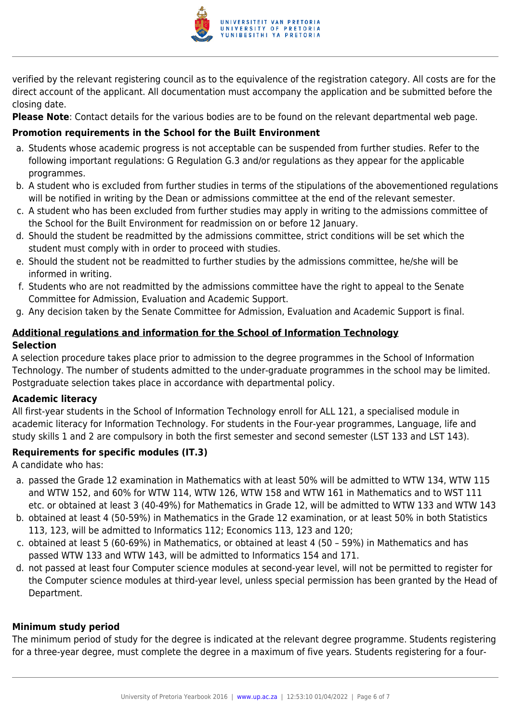

verified by the relevant registering council as to the equivalence of the registration category. All costs are for the direct account of the applicant. All documentation must accompany the application and be submitted before the closing date.

**Please Note**: Contact details for the various bodies are to be found on the relevant departmental web page.

# **Promotion requirements in the School for the Built Environment**

- a. Students whose academic progress is not acceptable can be suspended from further studies. Refer to the following important regulations: G Regulation G.3 and/or regulations as they appear for the applicable programmes.
- b. A student who is excluded from further studies in terms of the stipulations of the abovementioned regulations will be notified in writing by the Dean or admissions committee at the end of the relevant semester.
- c. A student who has been excluded from further studies may apply in writing to the admissions committee of the School for the Built Environment for readmission on or before 12 January.
- d. Should the student be readmitted by the admissions committee, strict conditions will be set which the student must comply with in order to proceed with studies.
- e. Should the student not be readmitted to further studies by the admissions committee, he/she will be informed in writing.
- f. Students who are not readmitted by the admissions committee have the right to appeal to the Senate Committee for Admission, Evaluation and Academic Support.
- g. Any decision taken by the Senate Committee for Admission, Evaluation and Academic Support is final.

# **Additional regulations and information for the School of Information Technology Selection**

A selection procedure takes place prior to admission to the degree programmes in the School of Information Technology. The number of students admitted to the under-graduate programmes in the school may be limited. Postgraduate selection takes place in accordance with departmental policy.

# **Academic literacy**

All first-year students in the School of Information Technology enroll for ALL 121, a specialised module in academic literacy for Information Technology. For students in the Four-year programmes, Language, life and study skills 1 and 2 are compulsory in both the first semester and second semester (LST 133 and LST 143).

# **Requirements for specific modules (IT.3)**

A candidate who has:

- a. passed the Grade 12 examination in Mathematics with at least 50% will be admitted to WTW 134, WTW 115 and WTW 152, and 60% for WTW 114, WTW 126, WTW 158 and WTW 161 in Mathematics and to WST 111 etc. or obtained at least 3 (40-49%) for Mathematics in Grade 12, will be admitted to WTW 133 and WTW 143
- b. obtained at least 4 (50-59%) in Mathematics in the Grade 12 examination, or at least 50% in both Statistics 113, 123, will be admitted to Informatics 112; Economics 113, 123 and 120;
- c. obtained at least 5 (60-69%) in Mathematics, or obtained at least 4 (50 59%) in Mathematics and has passed WTW 133 and WTW 143, will be admitted to Informatics 154 and 171.
- d. not passed at least four Computer science modules at second-year level, will not be permitted to register for the Computer science modules at third-year level, unless special permission has been granted by the Head of Department.

# **Minimum study period**

The minimum period of study for the degree is indicated at the relevant degree programme. Students registering for a three-year degree, must complete the degree in a maximum of five years. Students registering for a four-